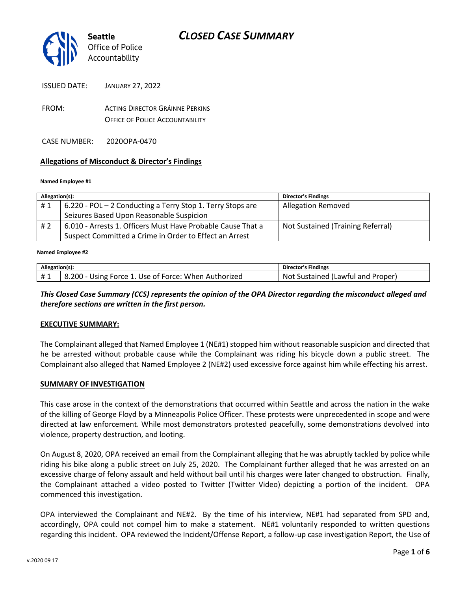

ISSUED DATE: JANUARY 27, 2022

FROM: ACTING DIRECTOR GRÁINNE PERKINS OFFICE OF POLICE ACCOUNTABILITY

CASE NUMBER: 2020OPA-0470

#### **Allegations of Misconduct & Director's Findings**

#### **Named Employee #1**

| Allegation(s): |                                                             | <b>Director's Findings</b>        |
|----------------|-------------------------------------------------------------|-----------------------------------|
| #1             | 6.220 - POL - 2 Conducting a Terry Stop 1. Terry Stops are  | <b>Allegation Removed</b>         |
|                | Seizures Based Upon Reasonable Suspicion                    |                                   |
| #2             | 6.010 - Arrests 1. Officers Must Have Probable Cause That a | Not Sustained (Training Referral) |
|                | Suspect Committed a Crime in Order to Effect an Arrest      |                                   |

#### ؚ<br>ا **Named Employee #2**

| Allegation(s): |                                                      | <b>Director's Findings</b>        |
|----------------|------------------------------------------------------|-----------------------------------|
| #1             | 8.200 - Using Force 1. Use of Force: When Authorized | Not Sustained (Lawful and Proper) |

#### *This Closed Case Summary (CCS) represents the opinion of the OPA Director regarding the misconduct alleged and therefore sections are written in the first person.*

#### **EXECUTIVE SUMMARY:**

The Complainant alleged that Named Employee 1 (NE#1) stopped him without reasonable suspicion and directed that he be arrested without probable cause while the Complainant was riding his bicycle down a public street. The Complainant also alleged that Named Employee 2 (NE#2) used excessive force against him while effecting his arrest.

#### **SUMMARY OF INVESTIGATION**

This case arose in the context of the demonstrations that occurred within Seattle and across the nation in the wake of the killing of George Floyd by a Minneapolis Police Officer. These protests were unprecedented in scope and were directed at law enforcement. While most demonstrators protested peacefully, some demonstrations devolved into violence, property destruction, and looting.

On August 8, 2020, OPA received an email from the Complainant alleging that he was abruptly tackled by police while riding his bike along a public street on July 25, 2020. The Complainant further alleged that he was arrested on an excessive charge of felony assault and held without bail until his charges were later changed to obstruction. Finally, the Complainant attached a video posted to Twitter (Twitter Video) depicting a portion of the incident. OPA commenced this investigation.

OPA interviewed the Complainant and NE#2. By the time of his interview, NE#1 had separated from SPD and, accordingly, OPA could not compel him to make a statement. NE#1 voluntarily responded to written questions regarding this incident. OPA reviewed the Incident/Offense Report, a follow-up case investigation Report, the Use of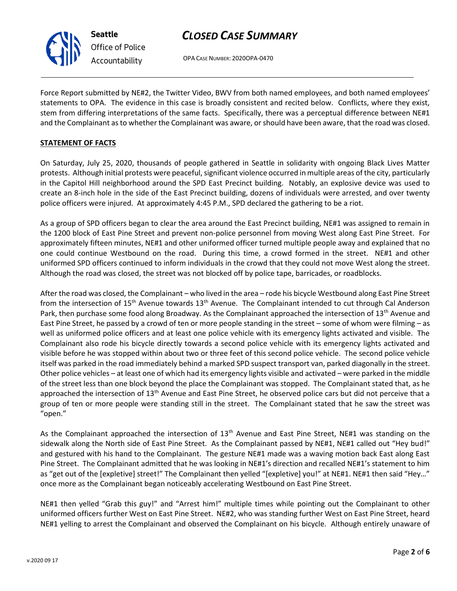# *CLOSED CASE SUMMARY*

OPA CASE NUMBER: 2020OPA-0470

Force Report submitted by NE#2, the Twitter Video, BWV from both named employees, and both named employees' statements to OPA. The evidence in this case is broadly consistent and recited below. Conflicts, where they exist, stem from differing interpretations of the same facts. Specifically, there was a perceptual difference between NE#1 and the Complainant as to whether the Complainant was aware, or should have been aware, that the road was closed.

### **STATEMENT OF FACTS**

On Saturday, July 25, 2020, thousands of people gathered in Seattle in solidarity with ongoing Black Lives Matter protests. Although initial protests were peaceful, significant violence occurred in multiple areas of the city, particularly in the Capitol Hill neighborhood around the SPD East Precinct building. Notably, an explosive device was used to create an 8-inch hole in the side of the East Precinct building, dozens of individuals were arrested, and over twenty police officers were injured. At approximately 4:45 P.M., SPD declared the gathering to be a riot.

As a group of SPD officers began to clear the area around the East Precinct building, NE#1 was assigned to remain in the 1200 block of East Pine Street and prevent non-police personnel from moving West along East Pine Street. For approximately fifteen minutes, NE#1 and other uniformed officer turned multiple people away and explained that no one could continue Westbound on the road. During this time, a crowd formed in the street. NE#1 and other uniformed SPD officers continued to inform individuals in the crowd that they could not move West along the street. Although the road was closed, the street was not blocked off by police tape, barricades, or roadblocks.

After the road was closed, the Complainant – who lived in the area – rode his bicycle Westbound along East Pine Street from the intersection of 15<sup>th</sup> Avenue towards 13<sup>th</sup> Avenue. The Complainant intended to cut through Cal Anderson Park, then purchase some food along Broadway. As the Complainant approached the intersection of 13<sup>th</sup> Avenue and East Pine Street, he passed by a crowd of ten or more people standing in the street – some of whom were filming – as well as uniformed police officers and at least one police vehicle with its emergency lights activated and visible. The Complainant also rode his bicycle directly towards a second police vehicle with its emergency lights activated and visible before he was stopped within about two or three feet of this second police vehicle. The second police vehicle itself was parked in the road immediately behind a marked SPD suspect transport van, parked diagonally in the street. Other police vehicles – at least one of which had its emergency lights visible and activated – were parked in the middle of the street less than one block beyond the place the Complainant was stopped. The Complainant stated that, as he approached the intersection of  $13<sup>th</sup>$  Avenue and East Pine Street, he observed police cars but did not perceive that a group of ten or more people were standing still in the street. The Complainant stated that he saw the street was "open."

As the Complainant approached the intersection of 13<sup>th</sup> Avenue and East Pine Street, NE#1 was standing on the sidewalk along the North side of East Pine Street. As the Complainant passed by NE#1, NE#1 called out "Hey bud!" and gestured with his hand to the Complainant. The gesture NE#1 made was a waving motion back East along East Pine Street. The Complainant admitted that he was looking in NE#1's direction and recalled NE#1's statement to him as "get out of the [expletive] street!" The Complainant then yelled "[expletive] you!" at NE#1. NE#1 then said "Hey..." once more as the Complainant began noticeably accelerating Westbound on East Pine Street.

NE#1 then yelled "Grab this guy!" and "Arrest him!" multiple times while pointing out the Complainant to other uniformed officers further West on East Pine Street. NE#2, who was standing further West on East Pine Street, heard NE#1 yelling to arrest the Complainant and observed the Complainant on his bicycle. Although entirely unaware of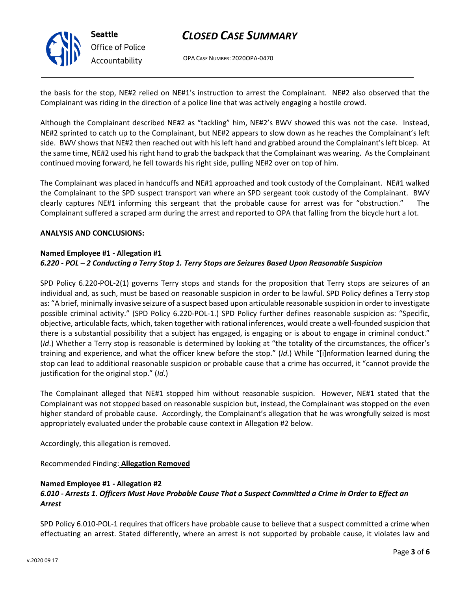

**Seattle** *Office of Police Accountability*

# *CLOSED CASE SUMMARY*

OPA CASE NUMBER: 2020OPA-0470

the basis for the stop, NE#2 relied on NE#1's instruction to arrest the Complainant. NE#2 also observed that the Complainant was riding in the direction of a police line that was actively engaging a hostile crowd.

Although the Complainant described NE#2 as "tackling" him, NE#2's BWV showed this was not the case. Instead, NE#2 sprinted to catch up to the Complainant, but NE#2 appears to slow down as he reaches the Complainant's left side. BWV shows that NE#2 then reached out with his left hand and grabbed around the Complainant's left bicep. At the same time, NE#2 used his right hand to grab the backpack that the Complainant was wearing. As the Complainant continued moving forward, he fell towards his right side, pulling NE#2 over on top of him.

The Complainant was placed in handcuffs and NE#1 approached and took custody of the Complainant. NE#1 walked the Complainant to the SPD suspect transport van where an SPD sergeant took custody of the Complainant. BWV clearly captures NE#1 informing this sergeant that the probable cause for arrest was for "obstruction." The Complainant suffered a scraped arm during the arrest and reported to OPA that falling from the bicycle hurt a lot.

#### **ANALYSIS AND CONCLUSIONS:**

#### **Named Employee #1 - Allegation #1** *6.220 - POL – 2 Conducting a Terry Stop 1. Terry Stops are Seizures Based Upon Reasonable Suspicion*

SPD Policy 6.220-POL-2(1) governs Terry stops and stands for the proposition that Terry stops are seizures of an individual and, as such, must be based on reasonable suspicion in order to be lawful. SPD Policy defines a Terry stop as: "A brief, minimally invasive seizure of a suspect based upon articulable reasonable suspicion in order to investigate possible criminal activity." (SPD Policy 6.220-POL-1.) SPD Policy further defines reasonable suspicion as: "Specific, objective, articulable facts, which, taken together with rational inferences, would create a well-founded suspicion that there is a substantial possibility that a subject has engaged, is engaging or is about to engage in criminal conduct." (*Id*.) Whether a Terry stop is reasonable is determined by looking at "the totality of the circumstances, the officer's training and experience, and what the officer knew before the stop." (*Id*.) While "[i]nformation learned during the stop can lead to additional reasonable suspicion or probable cause that a crime has occurred, it "cannot provide the justification for the original stop." (*Id*.)

The Complainant alleged that NE#1 stopped him without reasonable suspicion. However, NE#1 stated that the Complainant was not stopped based on reasonable suspicion but, instead, the Complainant was stopped on the even higher standard of probable cause. Accordingly, the Complainant's allegation that he was wrongfully seized is most appropriately evaluated under the probable cause context in Allegation #2 below.

Accordingly, this allegation is removed.

Recommended Finding: **Allegation Removed**

### **Named Employee #1 - Allegation #2**

### *6.010 - Arrests 1. Officers Must Have Probable Cause That a Suspect Committed a Crime in Order to Effect an Arrest*

SPD Policy 6.010-POL-1 requires that officers have probable cause to believe that a suspect committed a crime when effectuating an arrest. Stated differently, where an arrest is not supported by probable cause, it violates law and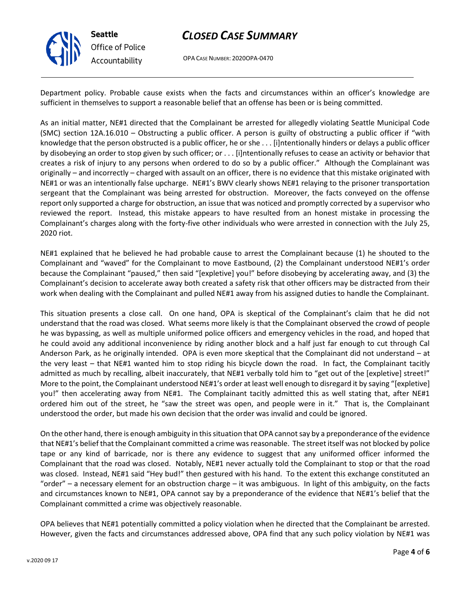

**Seattle** *Office of Police Accountability*

## *CLOSED CASE SUMMARY*

OPA CASE NUMBER: 2020OPA-0470

Department policy. Probable cause exists when the facts and circumstances within an officer's knowledge are sufficient in themselves to support a reasonable belief that an offense has been or is being committed.

As an initial matter, NE#1 directed that the Complainant be arrested for allegedly violating Seattle Municipal Code (SMC) section 12A.16.010 – Obstructing a public officer. A person is guilty of obstructing a public officer if "with knowledge that the person obstructed is a public officer, he or she . . . [i]ntentionally hinders or delays a public officer by disobeying an order to stop given by such officer; or . . . [i]ntentionally refuses to cease an activity or behavior that creates a risk of injury to any persons when ordered to do so by a public officer." Although the Complainant was originally – and incorrectly – charged with assault on an officer, there is no evidence that this mistake originated with NE#1 or was an intentionally false upcharge. NE#1's BWV clearly shows NE#1 relaying to the prisoner transportation sergeant that the Complainant was being arrested for obstruction. Moreover, the facts conveyed on the offense report only supported a charge for obstruction, an issue that was noticed and promptly corrected by a supervisor who reviewed the report. Instead, this mistake appears to have resulted from an honest mistake in processing the Complainant's charges along with the forty-five other individuals who were arrested in connection with the July 25, 2020 riot.

NE#1 explained that he believed he had probable cause to arrest the Complainant because (1) he shouted to the Complainant and "waved" for the Complainant to move Eastbound, (2) the Complainant understood NE#1's order because the Complainant "paused," then said "[expletive] you!" before disobeying by accelerating away, and (3) the Complainant's decision to accelerate away both created a safety risk that other officers may be distracted from their work when dealing with the Complainant and pulled NE#1 away from his assigned duties to handle the Complainant.

This situation presents a close call. On one hand, OPA is skeptical of the Complainant's claim that he did not understand that the road was closed. What seems more likely is that the Complainant observed the crowd of people he was bypassing, as well as multiple uniformed police officers and emergency vehicles in the road, and hoped that he could avoid any additional inconvenience by riding another block and a half just far enough to cut through Cal Anderson Park, as he originally intended. OPA is even more skeptical that the Complainant did not understand – at the very least – that NE#1 wanted him to stop riding his bicycle down the road. In fact, the Complainant tacitly admitted as much by recalling, albeit inaccurately, that NE#1 verbally told him to "get out of the [expletive] street!" More to the point, the Complainant understood NE#1's order at least well enough to disregard it by saying "[expletive] you!" then accelerating away from NE#1. The Complainant tacitly admitted this as well stating that, after NE#1 ordered him out of the street, he "saw the street was open, and people were in it." That is, the Complainant understood the order, but made his own decision that the order was invalid and could be ignored.

On the other hand, there is enough ambiguity in this situation that OPA cannot say by a preponderance of the evidence that NE#1's belief that the Complainant committed a crime was reasonable. The street itself was not blocked by police tape or any kind of barricade, nor is there any evidence to suggest that any uniformed officer informed the Complainant that the road was closed. Notably, NE#1 never actually told the Complainant to stop or that the road was closed. Instead, NE#1 said "Hey bud!" then gestured with his hand. To the extent this exchange constituted an "order" – a necessary element for an obstruction charge – it was ambiguous. In light of this ambiguity, on the facts and circumstances known to NE#1, OPA cannot say by a preponderance of the evidence that NE#1's belief that the Complainant committed a crime was objectively reasonable.

OPA believes that NE#1 potentially committed a policy violation when he directed that the Complainant be arrested. However, given the facts and circumstances addressed above, OPA find that any such policy violation by NE#1 was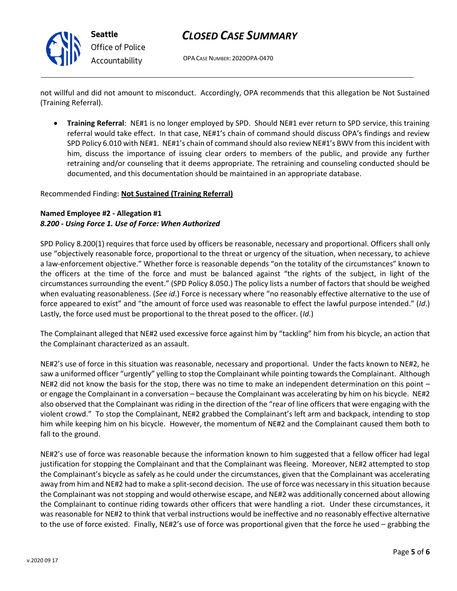

### *CLOSED CASE SUMMARY*

OPA CASE NUMBER: 2020OPA-0470

not willful and did not amount to misconduct. Accordingly, OPA recommends that this allegation be Not Sustained (Training Referral).

• **Training Referral**: NE#1 is no longer employed by SPD. Should NE#1 ever return to SPD service, this training referral would take effect. In that case, NE#1's chain of command should discuss OPA's findings and review SPD Policy 6.010 with NE#1. NE#1's chain of command should also review NE#1's BWV from this incident with him, discuss the importance of issuing clear orders to members of the public, and provide any further retraining and/or counseling that it deems appropriate. The retraining and counseling conducted should be documented, and this documentation should be maintained in an appropriate database.

#### Recommended Finding: **Not Sustained (Training Referral)**

### **Named Employee #2 - Allegation #1** *8.200 - Using Force 1. Use of Force: When Authorized*

SPD Policy 8.200(1) requires that force used by officers be reasonable, necessary and proportional. Officers shall only use "objectively reasonable force, proportional to the threat or urgency of the situation, when necessary, to achieve a law-enforcement objective." Whether force is reasonable depends "on the totality of the circumstances" known to the officers at the time of the force and must be balanced against "the rights of the subject, in light of the circumstances surrounding the event." (SPD Policy 8.050.) The policy lists a number of factors that should be weighed when evaluating reasonableness. (*See id*.) Force is necessary where "no reasonably effective alternative to the use of force appeared to exist" and "the amount of force used was reasonable to effect the lawful purpose intended." (*Id*.) Lastly, the force used must be proportional to the threat posed to the officer. (*Id*.)

The Complainant alleged that NE#2 used excessive force against him by "tackling" him from his bicycle, an action that the Complainant characterized as an assault.

NE#2's use of force in this situation was reasonable, necessary and proportional. Under the facts known to NE#2, he saw a uniformed officer "urgently" yelling to stop the Complainant while pointing towards the Complainant. Although NE#2 did not know the basis for the stop, there was no time to make an independent determination on this point – or engage the Complainant in a conversation – because the Complainant was accelerating by him on his bicycle. NE#2 also observed that the Complainant was riding in the direction of the "rear of line officers that were engaging with the violent crowd." To stop the Complainant, NE#2 grabbed the Complainant's left arm and backpack, intending to stop him while keeping him on his bicycle. However, the momentum of NE#2 and the Complainant caused them both to fall to the ground.

NE#2's use of force was reasonable because the information known to him suggested that a fellow officer had legal justification for stopping the Complainant and that the Complainant was fleeing. Moreover, NE#2 attempted to stop the Complainant's bicycle as safely as he could under the circumstances, given that the Complainant was accelerating away from him and NE#2 had to make a split-second decision. The use of force was necessary in this situation because the Complainant was not stopping and would otherwise escape, and NE#2 was additionally concerned about allowing the Complainant to continue riding towards other officers that were handling a riot. Under these circumstances, it was reasonable for NE#2 to think that verbal instructions would be ineffective and no reasonably effective alternative to the use of force existed. Finally, NE#2's use of force was proportional given that the force he used – grabbing the